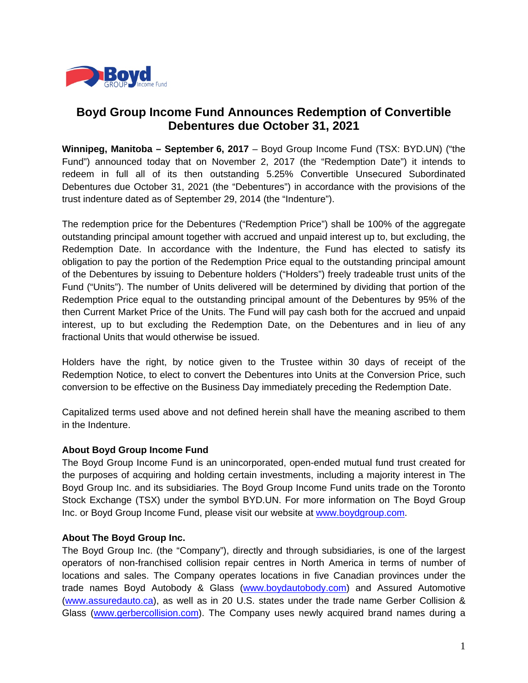

## **Boyd Group Income Fund Announces Redemption of Convertible Debentures due October 31, 2021**

**Winnipeg, Manitoba – September 6, 2017** – Boyd Group Income Fund (TSX: BYD.UN) ("the Fund") announced today that on November 2, 2017 (the "Redemption Date") it intends to redeem in full all of its then outstanding 5.25% Convertible Unsecured Subordinated Debentures due October 31, 2021 (the "Debentures") in accordance with the provisions of the trust indenture dated as of September 29, 2014 (the "Indenture").

The redemption price for the Debentures ("Redemption Price") shall be 100% of the aggregate outstanding principal amount together with accrued and unpaid interest up to, but excluding, the Redemption Date. In accordance with the Indenture, the Fund has elected to satisfy its obligation to pay the portion of the Redemption Price equal to the outstanding principal amount of the Debentures by issuing to Debenture holders ("Holders") freely tradeable trust units of the Fund ("Units"). The number of Units delivered will be determined by dividing that portion of the Redemption Price equal to the outstanding principal amount of the Debentures by 95% of the then Current Market Price of the Units. The Fund will pay cash both for the accrued and unpaid interest, up to but excluding the Redemption Date, on the Debentures and in lieu of any fractional Units that would otherwise be issued.

Holders have the right, by notice given to the Trustee within 30 days of receipt of the Redemption Notice, to elect to convert the Debentures into Units at the Conversion Price, such conversion to be effective on the Business Day immediately preceding the Redemption Date.

Capitalized terms used above and not defined herein shall have the meaning ascribed to them in the Indenture.

## **About Boyd Group Income Fund**

The Boyd Group Income Fund is an unincorporated, open-ended mutual fund trust created for the purposes of acquiring and holding certain investments, including a majority interest in The Boyd Group Inc. and its subsidiaries. The Boyd Group Income Fund units trade on the Toronto Stock Exchange (TSX) under the symbol BYD.UN. For more information on The Boyd Group Inc. or Boyd Group Income Fund, please visit our website at www.boydgroup.com.

## **About The Boyd Group Inc.**

The Boyd Group Inc. (the "Company"), directly and through subsidiaries, is one of the largest operators of non-franchised collision repair centres in North America in terms of number of locations and sales. The Company operates locations in five Canadian provinces under the trade names Boyd Autobody & Glass (www.boydautobody.com) and Assured Automotive (www.assuredauto.ca), as well as in 20 U.S. states under the trade name Gerber Collision & Glass (www.gerbercollision.com). The Company uses newly acquired brand names during a